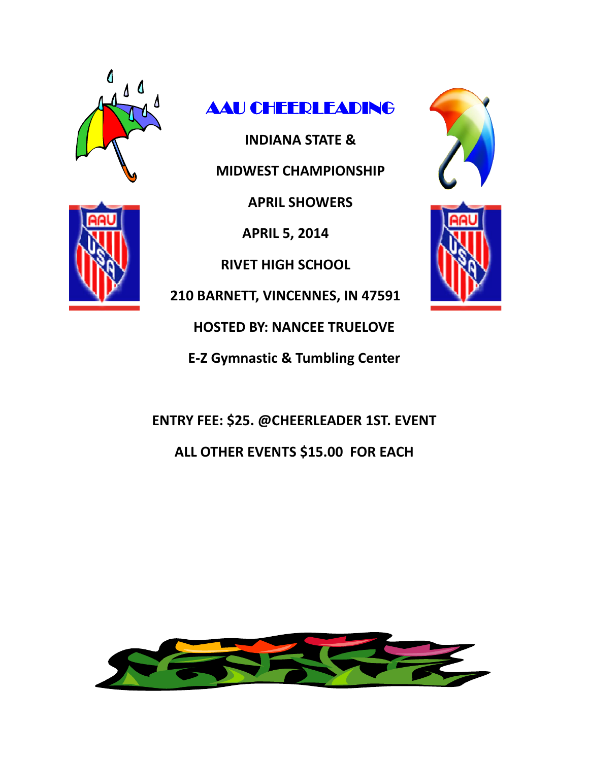



**INDIANA STATE & MIDWEST CHAMPIONSHIP**

**APRIL SHOWERS** 

**APRIL 5, 2014**

**RIVET HIGH SCHOOL**

**210 BARNETT, VINCENNES, IN 47591**

**HOSTED BY: NANCEE TRUELOVE**

**E-Z Gymnastic & Tumbling Center**

**ENTRY FEE: \$25. @CHEERLEADER 1ST. EVENT ALL OTHER EVENTS \$15.00 FOR EACH** 





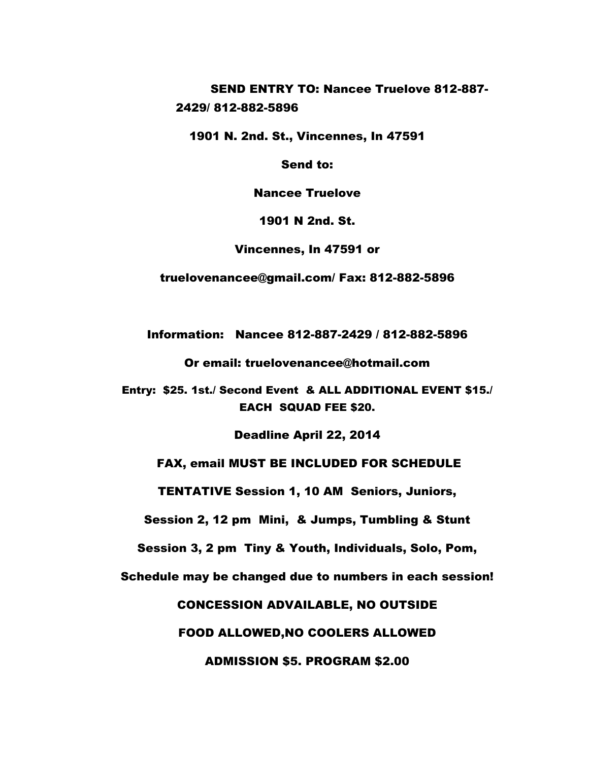SEND ENTRY TO: Nancee Truelove 812-887- 2429/ 812-882-5896

1901 N. 2nd. St., Vincennes, In 47591

Send to:

Nancee Truelove

1901 N 2nd. St.

Vincennes, In 47591 or

truelovenancee@gmail.com/ Fax: 812-882-5896

Information: Nancee 812-887-2429 / 812-882-5896

Or email: truelovenancee@hotmail.com

Entry: \$25. 1st./ Second Event & ALL ADDITIONAL EVENT \$15./ EACH SQUAD FEE \$20.

Deadline April 22, 2014

#### FAX, email MUST BE INCLUDED FOR SCHEDULE

TENTATIVE Session 1, 10 AM Seniors, Juniors,

Session 2, 12 pm Mini, & Jumps, Tumbling & Stunt

Session 3, 2 pm Tiny & Youth, Individuals, Solo, Pom,

Schedule may be changed due to numbers in each session!

CONCESSION ADVAILABLE, NO OUTSIDE

FOOD ALLOWED,NO COOLERS ALLOWED

ADMISSION \$5. PROGRAM \$2.00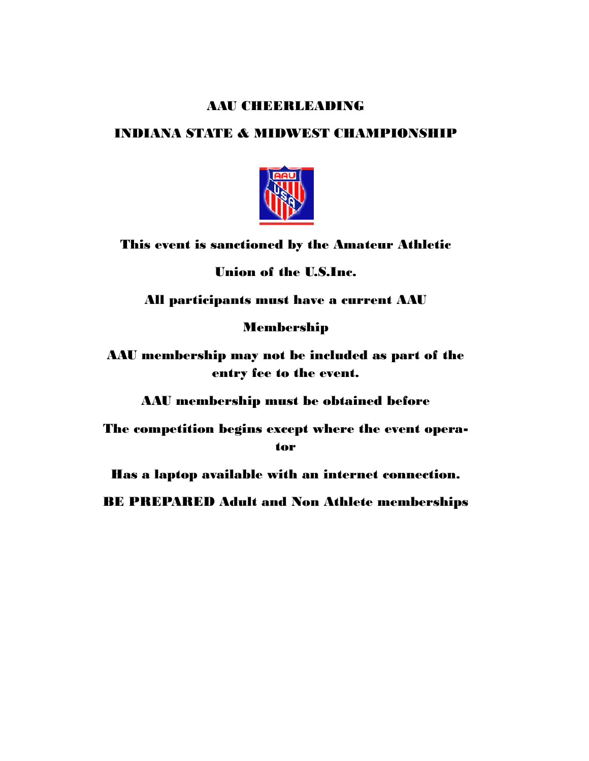#### **AAU CHEERLEADING**

#### INDIANA STATE & MIDWEST CHAMPIONSHIP



### This event is sanctioned by the Amateur Athletic

Union of the U.S.Inc.

All participants must have a current AAU

#### Membership

AAU membership may not be included as part of the entry fee to the event.

AAU membership must be obtained before

The competition begins except where the event operator

Has a laptop available with an internet connection.

BE PREPARED Adult and Non Athlete memberships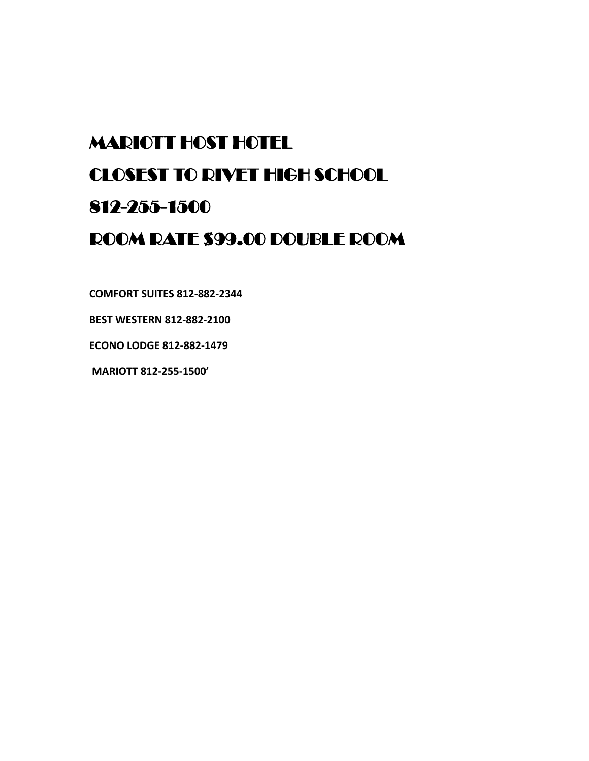## MARIOTT HOST HOTEL

## CLOSEST TO RIVET HIGH SCHOOL

## 812-255-1500

## ROOM RATE \$99.00 DOUBLE ROOM

**COMFORT SUITES 812-882-2344** 

**BEST WESTERN 812-882-2100**

**ECONO LODGE 812-882-1479** 

**MARIOTT 812-255-1500'**